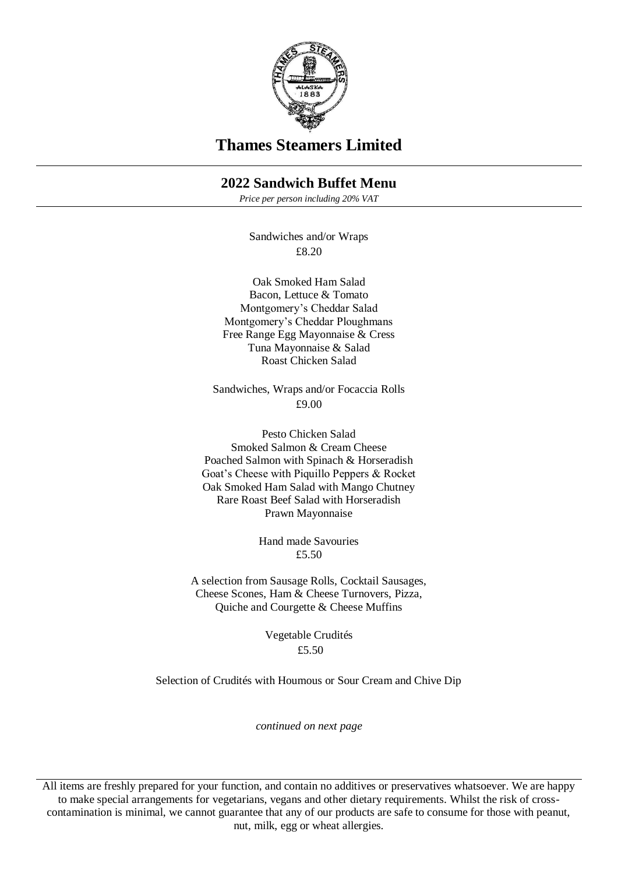

## **Thames Steamers Limited**

## **2022 Sandwich Buffet Menu**

*Price per person including 20% VAT*

Sandwiches and/or Wraps £8.20

Oak Smoked Ham Salad Bacon, Lettuce & Tomato Montgomery's Cheddar Salad Montgomery's Cheddar Ploughmans Free Range Egg Mayonnaise & Cress Tuna Mayonnaise & Salad Roast Chicken Salad

Sandwiches, Wraps and/or Focaccia Rolls £9.00

Pesto Chicken Salad Smoked Salmon & Cream Cheese Poached Salmon with Spinach & Horseradish Goat's Cheese with Piquillo Peppers & Rocket Oak Smoked Ham Salad with Mango Chutney Rare Roast Beef Salad with Horseradish Prawn Mayonnaise

> Hand made Savouries £5.50

A selection from Sausage Rolls, Cocktail Sausages, Cheese Scones, Ham & Cheese Turnovers, Pizza, Quiche and Courgette & Cheese Muffins

> Vegetable Crudités £5.50

Selection of Crudités with Houmous or Sour Cream and Chive Dip

*continued on next page*

All items are freshly prepared for your function, and contain no additives or preservatives whatsoever. We are happy to make special arrangements for vegetarians, vegans and other dietary requirements. Whilst the risk of crosscontamination is minimal, we cannot guarantee that any of our products are safe to consume for those with peanut, nut, milk, egg or wheat allergies.